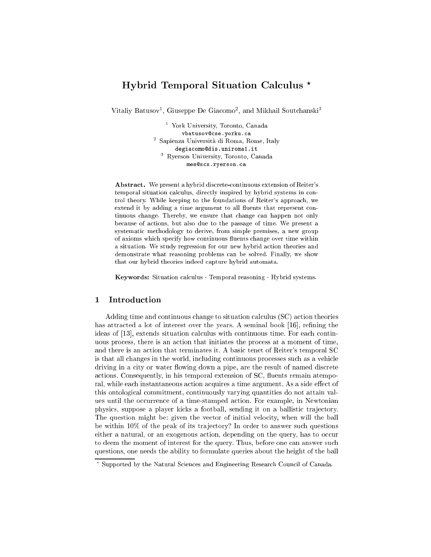# Hybrid Temporal Situation Calculus \*

vitaliy Batusov", Giuseppe De Giacomo", and Mikhail Soutchanski"

<sup>1</sup> York University, Toronto, Canada vbatusov@cse.yorku.ca <sup>2</sup> Sapienza Universita di Roma, Rome, Italy degia
omodis.uniroma1.it <sup>3</sup> Ryerson University, Toronto, Canada mes@scs.ryerson.ca

Abstra
t. We present a hybrid dis
reteontinuous extension of Reiter's temporal situation calculus, directly inspired by hybrid systems in control theory. While keeping to the foundations of Reiter's approa
h, we extend it by adding a time argument to all fluents that represent continuous change. Thereby, we ensure that change can happen not only be
ause of a
tions, but also due to the passage of time. We present a systemati methodology to derive, from simple premises, a new group of axioms which specify how continuous fluents change over time within a situation. We study regression for our new hybrid a
tion theories and demonstrate what reasoning problems an be solved. Finally, we show that our hybrid theories indeed apture hybrid automata.

Keywords: Situation calculus Temporal reasoning Hybrid systems.

### **Introduction**  $\mathbf{1}$

Adding time and continuous change to situation calculus (SC) action theories has attracted a lot of interest over the years. A seminal book [16], refining the ideas of  $[13]$ , extends situation calculus with continuous time. For each continuous pro
ess, there is an a
tion that initiates the pro
ess at a moment of time, and there is an a
tion that terminates it. A basi tenet of Reiter's temporal SC is that all hanges in the world, in
luding ontinuous pro
esses su
h as a vehi
le driving in a city or water flowing down a pipe, are the result of named discrete actions. Consequently, in his temporal extension of SC, fluents remain atemporal, while each instantaneous action acquires a time argument. As a side effect of this ontologi
al ommitment, ontinuously varying quantities do not attain values until the occurrence of a time-stamped action. For example, in Newtonian physics, suppose a player kicks a football, sending it on a ballistic trajectory. The question might be: given the vector of initial velocity, when will the ball be within  $10\%$  of the peak of its trajectory? In order to answer such questions either a natural, or an exogenous action, depending on the query, has to occur to deem the moment of interest for the query. Thus, before one can answer such questions, one needs the ability to formulate queries about the height of the ball

<sup>?</sup> Supported by the Natural S
ien
es and Engineering Resear
h Coun
il of Canada.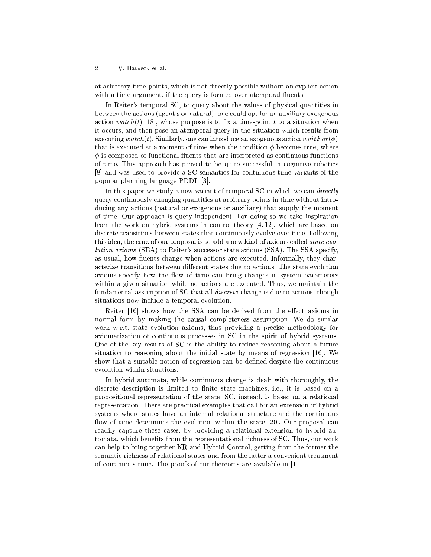#### $\overline{2}$ V. Batusov et al.

at arbitrary time-points, which is not directly possible without an explicit action with a time argument, if the query is formed over atemporal fluents.

In Reiter's temporal SC, to query about the values of physical quantities in between the a
tions (agent's or natural), one ould opt for an auxiliary exogenous action watch(t) [18], whose purpose is to fix a time-point t to a situation when it occurs, and then pose an atemporal query in the situation which results from executing watch(t). Similarly, one can introduce an exogenous action wait $For(\phi)$ that is executed at a moment of time when the condition  $\phi$  becomes true, where  $\phi$  is composed of functional fluents that are interpreted as continuous functions of time. This approach has proved to be quite successful in cognitive robotics [8] and was used to provide a SC semantics for continuous time variants of the popular planning language PDDL [3].

In this paper we study a new variant of temporal SC in which we can directly query ontinuously hanging quantities at arbitrary points in time without introdu
ing any a
tions (natural or exogenous or auxiliary) that supply the moment of time. Our approa
h is query-independent. For doing so we take inspiration from the work on hybrid systems in control theory  $[4, 12]$ , which are based on dis
rete transitions between states that ontinuously evolve over time. Following this idea, the crux of our proposal is to add a new kind of axioms called *state evo*lution axioms (SEA) to Reiter's successor state axioms (SSA). The SSA specify, as usual, how fluents change when actions are executed. Informally, they characterize transitions between different states due to actions. The state evolution axioms specify how the flow of time can bring changes in system parameters within a given situation while no actions are executed. Thus, we maintain the fundamental assumption of SC that all *discrete* change is due to actions, though situations now in
lude a temporal evolution.

Reiter  $[16]$  shows how the SSA can be derived from the effect axioms in normal form by making the ausal ompleteness assumption. We do similar work w.r.t. state evolution axioms, thus providing a precise methodology for axiomatization of ontinuous pro
esses in SC in the spirit of hybrid systems. One of the key results of SC is the ability to redu
e reasoning about a future situation to reasoning about the initial state by means of regression  $[16]$ . We show that a suitable notion of regression can be defined despite the continuous evolution within situations.

In hybrid automata, while ontinuous hange is dealt with thoroughly, the discrete description is limited to finite state machines, *i.e.*, it is based on a propositional representation of the state. SC, instead, is based on a relational representation. There are practical examples that call for an extension of hybrid systems where states have an internal relational structure and the continuous flow of time determines the evolution within the state  $[20]$ . Our proposal can readily capture these cases, by providing a relational extension to hybrid automata, which benefits from the representational richness of SC. Thus, our work an help to bring together KR and Hybrid Control, getting from the former the semantic richness of relational states and from the latter a convenient treatment of continuous time. The proofs of our thereoms are available in [1].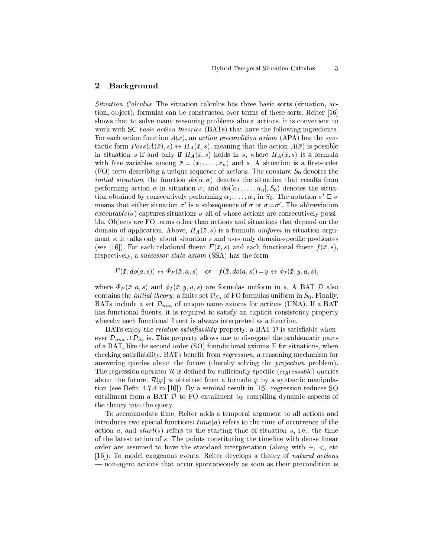# 2 Ba
kground

Situation Calculus The situation calculus has three basic sorts (situation, action, object); formulas can be constructed over terms of these sorts. Reiter [16] shows that to solve many reasoning problems about actions, it is convenient to work with SC *basic action theories* (BATs) that have the following ingredients. For each action function  $A(\bar{x})$ , an *action precondition axiom* (APA) has the syntactic form  $Poss(A(\bar{x}), s) \leftrightarrow \Pi_A(\bar{x}, s)$ , meaning that the action  $A(\bar{x})$  is possible in situation s if and only if  $\Pi_A(\bar{x}, s)$  holds in s, where  $\Pi_A(\bar{x}, s)$  is a formula with free variables among  $\bar{x} = (x_1, \ldots, x_n)$  and s. A situation is a first-order (FO) term describing a unique sequence of actions. The constant  $S_0$  denotes the *initial situation*, the function  $do(\alpha, \sigma)$  denotes the situation that results from performing action  $\alpha$  in situation  $\sigma$ , and  $do([\alpha_1, \ldots, \alpha_n], S_0)$  denotes the situation obtained by consecutively performing  $\alpha_1, \ldots, \alpha_n$  in  $S_0$ . The notation  $\sigma' \sqsubseteq \sigma$ means that either situation  $\sigma$  is a subsequence of  $\sigma$  or  $\sigma = \sigma$  . The abbreviation  $executable(\sigma)$  captures situations  $\sigma$  all of whose actions are consecutively possible. Objects are FO terms other than actions and situations that depend on the domain of application. Above,  $\Pi_A(\bar{x}, s)$  is a formula uniform in situation argument  $s$ : it talks only about situation  $s$  and uses only domain-specific predicates (see [16]). For each relational fluent  $F(\bar{x}, s)$  and each functional fluent  $f(\bar{x}, s)$ , respectively, a *successor state axiom* (SSA) has the form

 $F(\bar{x}, d\sigma(a, s)) \leftrightarrow \Phi_F(\bar{x}, a, s)$  or  $f(\bar{x}, d\sigma(a, s)) = y \leftrightarrow \phi_f(\bar{x}, y, a, s),$ 

where  $\Phi_F(\bar{x}, a, s)$  and  $\phi_f(\bar{x}, y, a, s)$  are formulas uniform in s. A BAT  $\mathcal D$  also contains the *initial theory*: a finite set  $\mathcal{D}_{S_0}$  of FO formulas uniform in  $S_0$ . Finally, BATs include a set  $\mathcal{D}_{una}$  of unique name axioms for actions (UNA). If a BAT has functional fluents, it is required to satisfy an explicit consistency property whereby each functional fluent is always interpreted as a function.

BATs enjoy the *relative satisfiability* property: a BAT  $D$  is satisfiable whenever  $\mathcal{D}_{una} \cup \mathcal{D}_{S_0}$  is. This property allows one to disregard the problematic parts of a BAT, like the second order (SO) foundational axioms  $\Sigma$  for situations, when checking satisfiability. BATs benefit from *regression*, a reasoning mechanism for answering queries about the future (thereby solving the *projection* problem). The regression operator  $\mathcal R$  is defined for sufficiently specific (*regressable*) queries about the future.  $\mathcal{R}[\varphi]$  is obtained from a formula  $\varphi$  by a syntactic manipulation (see Defn. 4.7.4 in  $[16]$ ). By a seminal result in  $[16]$ , regression reduces SO entailment from a BAT  $D$  to FO entailment by compiling dynamic aspects of the theory into the query.

To accommodate time, Reiter adds a temporal argument to all actions and introduces two special functions:  $time(a)$  refers to the time of occurrence of the action a, and start(s) refers to the starting time of situation s, i.e., the time of the latest a
tion of s. The points onstituting the timeline with dense linear order are assumed to have the standard interpretation (along with  $+$ ,  $\lt$ , etc [16]). To model exogenous events, Reiter develops a theory of natural actions  $-$  non-agent actions that occur spontaneously as soon as their precondition is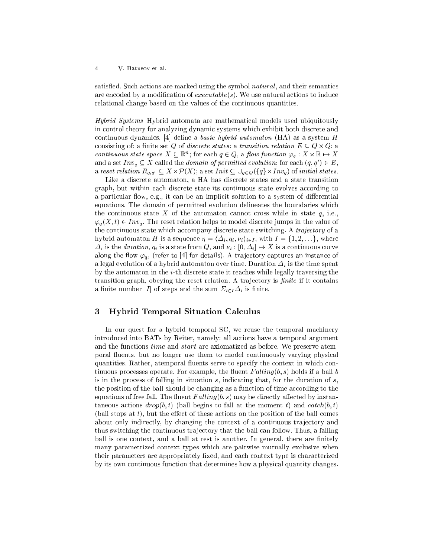satisfied. Such actions are marked using the symbol *natural*, and their semantics are encoded by a modification of  $execute(s)$ . We use natural actions to induce relational hange based on the values of the ontinuous quantities.

Hybrid Systems Hybrid automata are mathemati
al models used ubiquitously in control theory for analyzing dynamic systems which exhibit both discrete and continuous dynamics. [4] define a *basic hybrid automaton* (HA) as a system  $H$  $\mathcal{A}$  , and the states  $\mathcal{A}$  transition relation relation relation relation  $\mathcal{A}$  and  $\mathcal{A}$ continuous state space  $X \subseteq \mathbb{R}^n$ ; for each  $q \in Q$ , a flow function  $\varphi_q : X \times \mathbb{R} \to X$ and a set  $Inv_q \subseteq X$  caned the *aomain of permitted evolution*; for each  $(q, q') \in E$ , a reset retation  $R_{q,q'} \subseteq X \times F(X)$ ; a set Init  $\subseteq \bigcup_{q \in Q} (\{q\} \times Inv_q)$  of initial states.

Like a discrete automaton, a HA has discrete states and a state transition graph, but within each discrete state its continuous state evolves according to a particular flow, e.g., it can be an implicit solution to a system of differential equations. The domain of permitted evolution delineates the boundaries whi
h the continuous state X of the automaton cannot cross while in state  $q$ , i.e.,  $\varphi_a(X,t) \in Inv_a$ . The reset relation helps to model discrete jumps in the value of the continuous state which accompany discrete state switching. A *trajectory* of a hybrid automaton H is a sequence  $\eta = \langle \Delta_i, q_i, \nu_i \rangle_{i \in I}$ , with  $I = \{1, 2, \ldots\}$ , where  $\varDelta_i$  is the duration,  $q_i$  is a state from  $Q$ , and  $\nu_i : [0, \varDelta_i] \mapsto X$  is a continuous curve along the flow  $\varphi_{q_i}$  (refer to [4] for details). A trajectory captures an instance of a legal evolution of a hybrid automaton over time. Duration  $\Delta_i$  is the time spent by the automaton in the  $i$ -th discrete state it reaches while legally traversing the transition graph, obeying the reset relation. A trajectory is *finite* if it contains a finite number |I| of steps and the sum  $\Sigma_{i\in I}\Delta_i$  is finite.

# 3 Hybrid Temporal Situation Calculus

In our quest for a hybrid temporal SC, we reuse the temporal machinery introdu
ed into BATs by Reiter, namely: all a
tions have a temporal argument and the functions *time* and *start* are axiomatized as before. We preserve atemporal fluents, but no longer use them to model continuously varying physical quantities. Rather, atemporal fluents serve to specify the context in which continuous processes operate. For example, the fluent  $Falling(b, s)$  holds if a ball b is in the process of falling in situation  $s$ , indicating that, for the duration of  $s$ , the position of the ball should be changing as a function of time according to the equations of free fall. The fluent  $Falling(b, s)$  may be directly affected by instantaneous actions  $drop(b, t)$  (ball begins to fall at the moment t) and  $catch(b, t)$  $\Lambda$  (ball stops at t), but the effect of these actions on the position of the ball comes about only indirectly, by changing the context of a continuous trajectory and thus switching the continuous trajectory that the ball can follow. Thus, a falling ball is one context, and a ball at rest is another. In general, there are finitely many parametrized ontext types whi
h are pairwise mutually ex
lusive when their parameters are appropriately fixed, and each context type is characterized by its own ontinuous fun
tion that determines how a physi
al quantity hanges.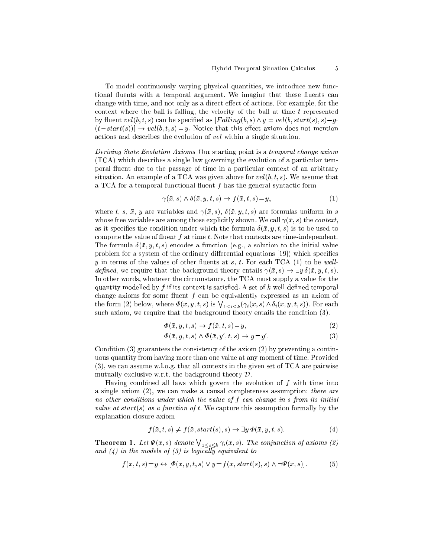To model continuously varying physical quantities, we introduce new functional fluents with a temporal argument. We imagine that these fluents can change with time, and not only as a direct effect of actions. For example, for the context where the ball is falling, the velocity of the ball at time  $t$  represented by fluent  $vel(b, t, s)$  can be specified as  $[Falling(b, s) \wedge y = vel(b, start(s), s) - g$ .  $(t - start(s))] \rightarrow vel(b, t, s) = y$ . Notice that this effect axiom does not mention a
tions and des
ribes the evolution of vel within a single situation.

Deriving State Evolution Axioms Our starting point is a temporal hange axiom (TCA) whi
h des
ribes a single law governing the evolution of a parti
ular temporal fluent due to the passage of time in a particular context of an arbitrary situation. An example of a TCA was given above for  $vel(b, t, s)$ . We assume that a TCA for a temporal functional fluent  $f$  has the general syntactic form

$$
\gamma(\bar{x}, s) \land \delta(\bar{x}, y, t, s) \to f(\bar{x}, t, s) = y,\tag{1}
$$

where t, s,  $\bar{x}$ , y are variables and  $\gamma(\bar{x}, s)$ ,  $\delta(\bar{x}, y, t, s)$  are formulas uniform in s whose free variables are among those explicitly shown. We call  $\gamma(\bar{x}, s)$  the *context*, as it specifies the condition under which the formula  $\delta(\bar{x}, y, t, s)$  is to be used to compute the value of fluent  $f$  at time  $t$ . Note that contexts are time-independent. The formula  $\delta(\bar{x}, y, t, s)$  encodes a function (e.g., a solution to the initial value problem for a system of the ordinary differential equations  $[19]$ ) which specifies y in terms of the values of other fluents at s, t. For each  $TCA$  (1) to be welldefined, we require that the background theory entails  $\gamma(\bar{x}, s) \to \exists y \, \delta(\bar{x}, y, t, s)$ . In other words, whatever the circumstance, the TCA must supply a value for the quantity modelled by  $f$  if its context is satisfied. A set of  $k$  well-defined temporal change axioms for some fluent  $f$  can be equivalently expressed as an axiom of the form (2) below, where  $\Phi(\bar{x}, y, t, s)$  is  $\bigvee_{1 \leq i \leq k} (\gamma_i(\bar{x}, s) \wedge \delta_i(\bar{x}, y, t, s))$ . For each such axiom, we require that the background theory entails the condition  $(3)$ .

$$
\Phi(\bar{x}, y, t, s) \to f(\bar{x}, t, s) = y,\tag{2}
$$

$$
\Phi(\bar{x}, y, t, s) \land \Phi(\bar{x}, y', t, s) \to y = y'.
$$
\n(3)

Condition  $(3)$  guarantees the consistency of the axiom  $(2)$  by preventing a continuous quantity from having more than one value at any moment of time. Provided (3), we an assume w.l.o.g. that all ontexts in the given set of TCA are pairwise mutually exclusive w.r.t. the background theory  $\mathcal{D}$ .

Having combined all laws which govern the evolution of  $f$  with time into a single axiom (2), we can make a causal completeness assumption: there are no other conditions under which the value of f can change in s from its initial value at start(s) as a function of t. We capture this assumption formally by the explanation losure axiom

$$
f(\bar{x}, t, s) \neq f(\bar{x}, start(s), s) \rightarrow \exists y \Phi(\bar{x}, y, t, s).
$$
\n
$$
(4)
$$

**Theorem 1.** Let  $\Psi(\bar{x},s)$  denote  $\bigvee_{1\leq i\leq k}\gamma_i(\bar{x},s)$ . The conjunction of axioms (2) and  $(4)$  in the models of  $(3)$  is logically equivalent to

$$
f(\bar{x}, t, s) = y \leftrightarrow [\Phi(\bar{x}, y, t, s) \lor y = f(\bar{x}, start(s), s) \land \neg \Psi(\bar{x}, s)].
$$
\n(5)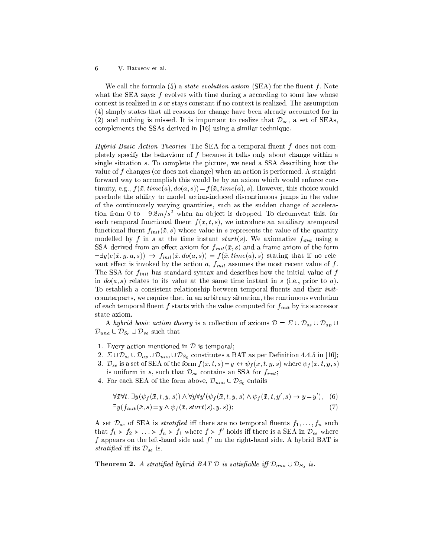We call the formula  $(5)$  a *state evolution axiom* (SEA) for the fluent f. Note what the SEA says:  $f$  evolves with time during  $s$  according to some law whose ontext is realized in s or stays onstant if no ontext is realized. The assumption (4) simply states that all reasons for change have been already accounted for in (2) and nothing is missed. It is important to realize that  $\mathcal{D}_{se}$ , a set of SEAs, complements the SSAs derived in  $[16]$  using a similar technique.

Hybrid Basic Action Theories The SEA for a temporal fluent  $f$  does not completely specify the behaviour of  $f$  because it talks only about change within a single situation s. To complete the picture, we need a SSA describing how the value of  $f$  changes (or does not change) when an action is performed. A straightforward way to accomplish this would be by an axiom which would enforce continuity, e.g.,  $f(\bar{x}, time(a), do(a, s)) = f(\bar{x}, time(a), s)$ . However, this choice would pre
lude the ability to model a
tion-indu
ed dis
ontinuous jumps in the value of the continuously varying quantities, such as the sudden change of acceleration from 0 to  $-y.\delta m/s^-$  when an object is dropped. To circumvent this, for each temporal functional fluent  $f(\bar{x}, t, s)$ , we introduce an auxiliary atemporal functional fluent  $f_{init}(\bar{x}, s)$  whose value in s represents the value of the quantity modelled by f in s at the time instant  $start(s)$ . We axiomatize  $f_{init}$  using a SSA derived from an effect axiom for  $f_{init}(\bar{x}, s)$  and a frame axiom of the form  $\neg \exists y (e(\bar{x}, y, a, s)) \rightarrow f_{init}(\bar{x}, do(a, s)) = f(\bar{x}, time(a), s)$  stating that if no relevant effect is invoked by the action a,  $f_{init}$  assumes the most recent value of f. The SSA for  $f_{init}$  has standard syntax and describes how the initial value of f in  $do(a, s)$  relates to its value at the same time instant in s (i.e., prior to a). To establish a consistent relationship between temporal fluents and their *init*ounterparts, we require that, in an arbitrary situation, the ontinuous evolution of each temporal fluent f starts with the value computed for  $f_{init}$  by its successor state axiom.

A hybrid basic action theory is a collection of axioms  $\mathcal{D} = \Sigma \cup \mathcal{D}_{ss} \cup \mathcal{D}_{ap} \cup$  $\mathcal{D}_{una} \cup \mathcal{D}_{S_0} \cup \mathcal{D}_{se}$  such that

- 1. Every action mentioned in  $\mathcal D$  is temporal;
- 2.  $\Sigma \cup \mathcal{D}_{ss} \cup \mathcal{D}_{ap} \cup \mathcal{D}_{una} \cup \mathcal{D}_{S_0}$  constitutes a BAT as per Definition 4.4.5 in [16];
- 3.  $\mathcal{D}_{se}$  is a set of SEA of the form  $f(\bar{x}, t, s) = y \leftrightarrow \psi_f(\bar{x}, t, y, s)$  where  $\psi_f(\bar{x}, t, y, s)$ is uniform in s, such that  $\mathcal{D}_{ss}$  contains an SSA for  $f_{init}$ ;
- 4. For each SEA of the form above,  $\mathcal{D}_{una} \cup \mathcal{D}_{S_0}$  entails

$$
\forall \bar{x} \forall t. \exists y (\psi_f(\bar{x}, t, y, s)) \land \forall y \forall y' (\psi_f(\bar{x}, t, y, s) \land \psi_f(\bar{x}, t, y', s) \rightarrow y = y'), \quad (6)
$$
  

$$
\exists y (f_{init}(\bar{x}, s) = y \land \psi_f(\bar{x}, start(s), y, s)); \quad (7)
$$

A set  $\mathcal{D}_{se}$  of SEA is *stratified* iff there are no temporal fluents  $f_1, \ldots, f_n$  such that  $f_1 \succ f_2 \succ \ldots \succ f_n \succ f_1$  where  $f \succ f_1$  holds in there is a SEA in  $\nu_{se}$  where  $f$  appears on the left-hand side and  $f$  on the right-hand side. A hybrid  $\mathbf{BAI}$  is stratified iff its  $\mathcal{D}_{se}$  is.

**Theorem 2.** A stratified hybrid BAT D is satisfiable iff  $\mathcal{D}_{una} \cup \mathcal{D}_{S_0}$  is.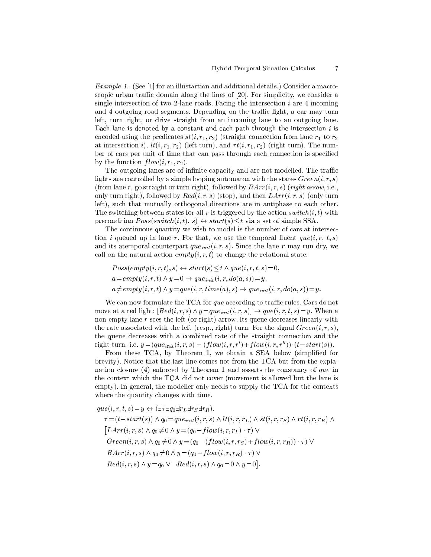Example 1. (See [1] for an illustartion and additional details.) Consider a macroscopic urban traffic domain along the lines of [20]. For simplicity, we consider a single intersection of two 2-lane roads. Facing the intersection  $i$  are 4 incoming and 4 outgoing road segments. Depending on the traffic light, a car may turn left, turn right, or drive straight from an incoming lane to an outgoing lane. Each lane is denoted by a constant and each path through the intersection  $i$  is encoded using the predicates  $st(i, r_1, r_2)$  (straight connection from lane  $r_1$  to  $r_2$ at intersection i),  $lt(i, r_1, r_2)$  (left turn), and  $rt(i, r_1, r_2)$  (right turn). The number of cars per unit of time that can pass through each connection is specified by the function  $flow(i, r_1, r_2)$ .

The outgoing lanes are of infinite capacity and are not modelled. The traffic lights are controlled by a simple looping automaton with the states  $Green(i, r, s)$ (from lane r, go straight or turn right), followed by  $RArr(i, r, s)$  (right arrow, i.e., only turn right), followed by  $Red(i, r, s)$  (stop), and then  $LArr(i, r, s)$  (only turn left), such that mutually orthogonal directions are in antiphase to each other. The switching between states for all r is triggered by the action  $switch(i, t)$  with precondition  $Poss(swith(i, t), s) \leftrightarrow start(s) \leq t$  via a set of simple SSA.

The continuous quantity we wish to model is the number of cars at intersection i queued up in lane r. For that, we use the temporal fluent  $que(i, r, t, s)$ and its atemporal counterpart  $que_{init}(i, r, s)$ . Since the lane r may run dry, we call on the natural action  $empty(i, r, t)$  to change the relational state:

$$
Poss(empty(i,r,t),s) \leftrightarrow start(s) \leq t \land que(i,r,t,s) = 0,
$$
  
\n
$$
a = empty(i,r,t) \land y = 0 \rightarrow que_{init}(i,r,do(a,s)) = y,
$$
  
\n
$$
a \neq empty(i,r,t) \land y = que(i,r,time(a),s) \rightarrow que_{init}(i,r,do(a,s)) = y.
$$

We can now formulate the TCA for que according to traffic rules. Cars do not move at a red light:  $[Red(i, r, s) \wedge y = que_{init}(i, r, s)] \rightarrow que(i, r, t, s) = y$ . When a non-empty lane  $r$  sees the left (or right) arrow, its queue decreases linearly with the rate associated with the left (resp., right) turn. For the signal  $Green(i, r, s)$ . the queue decreases with a combined rate of the straight connection and the right turn, i.e.  $y = (que_{init}(i, r, s) - (flow(i, r, r)) + flow(i, r, r))$  (t-start(s)).

From these TCA, by Theorem 1, we obtain a SEA below (simplified for brevity). Notice that the last line comes not from the TCA but from the explanation closure (4) enforced by Theorem 1 and asserts the constancy of que in the ontext whi
h the TCA did not over (movement is allowed but the lane is empty). In general, the modeller only needs to supply the TCA for the ontexts where the quantity hanges with time.

$$
que(i, r, t, s) = y \leftrightarrow (\exists \tau \exists q_0 \exists r_L \exists r_S \exists r_R).
$$
  
\n
$$
\tau = (t - start(s)) \land q_0 = que_{init}(i, r, s) \land lt(i, r, r_L) \land st(i, r, r_S) \land rt(i, r, r_R) \land
$$
  
\n
$$
[LArr(i, r, s) \land q_0 \neq 0 \land y = (q_0 - flow(i, r, r_L) \cdot \tau) \lor
$$
  
\n
$$
Green(i, r, s) \land q_0 \neq 0 \land y = (q_0 - (flow(i, r, r_S) + flow(i, r, r_R)) \cdot \tau) \lor
$$
  
\n
$$
RArr(i, r, s) \land q_0 \neq 0 \land y = (q_0 - flow(i, r, r_R) \cdot \tau) \lor
$$
  
\n
$$
Red(i, r, s) \land y = q_0 \lor \neg Red(i, r, s) \land q_0 = 0 \land y = 0].
$$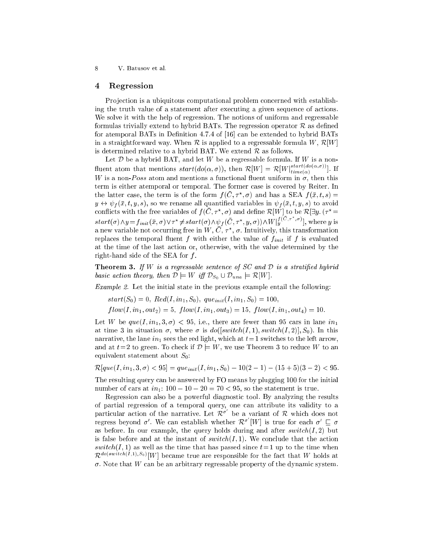## 4 Regression

Projection is a ubiquitous computational problem concerned with establishing the truth value of a statement after executing a given sequence of actions. We solve it with the help of regression. The notions of uniform and regressable formulas trivially extend to hybrid BATs. The regression operator  $\mathcal R$  as defined for atemporal BATs in Definition 4.7.4 of  $[16]$  can be extended to hybrid BATs in a straightforward way. When  $\mathcal R$  is applied to a regressable formula  $W, \mathcal R[W]$ is determined relative to a hybrid BAT. We extend  $R$  as follows.

Let  $D$  be a hybrid BAT, and let  $W$  be a regressable formula. If  $W$  is a nonfluent atom that mentions  $start(do(\alpha, \sigma))$ , then  $\mathcal{R}[W] = \mathcal{R}[W]_{time(\alpha)}^{start(do(\alpha, \sigma))}$ . If W is a non-Poss atom and mentions a functional fluent uniform in  $\sigma$ , then this term is either atemporal or temporal. The former case is covered by Reiter. In the latter case, the term is of the form  $f(C, \tau^*, \sigma)$  and has a SEA  $f(\bar{x}, t, s) =$  $y \leftrightarrow \psi_f(\bar{x}, t, y, s)$ , so we rename all quantified variables in  $\psi_f(\bar{x}, t, y, s)$  to avoid conflicts with the free variables of  $f(C, \tau^*, \sigma)$  and define  $\mathcal{R}[W]$  to be  $\mathcal{R}[\exists y]$ .  $(\tau^* =$  $start(\sigma) \wedge y = f_{init}(\bar{x}, \sigma) \vee \tau^\star \neq start(\sigma) \wedge \psi_f(\bar{C}, \tau^\star, y, \sigma)) \wedge W|_y^{f(C, \tau^\star, \sigma)}],$  where y is a new variable not occurring free in W, C,  $\tau^*$ ,  $\sigma$ . Intuitively, this transformation replaces the temporal fluent f with either the value of  $f_{init}$  if f is evaluated at the time of the last a
tion or, otherwise, with the value determined by the right-hand side of the SEA for  $f$ .

**Theorem 3.** If W is a regressable sentence of  $SC$  and  $D$  is a stratified hybrid basic action theory, then  $D \models W$  iff  $\mathcal{D}_{S_0} \cup \mathcal{D}_{una} \models \mathcal{R}[W]$ .

Example 2. Let the initial state in the previous example entail the following:

$$
start(S_0) = 0, Red(I, in_1, S_0), que_{init}(I, in_1, S_0) = 100,
$$
  
\n
$$
flow(I, in_1, out_2) = 5, flow(I, in_1, out_3) = 15, flow(I, in_1, out_4) = 10.
$$

Let W be  $que(I, in_1, 3, \sigma) < 95$ , i.e., there are fewer than 95 cars in lane  $in_1$ at time 3 in situation  $\sigma$ , where  $\sigma$  is  $do([switch (I, 1), switch (I, 2)], S_0)$ . In this narrative, the lane  $in_1$  sees the red light, which at  $t=1$  switches to the left arrow, and at  $t=2$  to green. To check if  $\mathcal{D} \models W$ , we use Theorem 3 to reduce W to an equivalent statement about  $S_0$ :

 $\mathcal{R}[que(I, in_1, 3, \sigma) < 95] = que_{init}(I, in_1, S_0) - 10(2 - 1) - (15 + 5)(3 - 2) < 95.$ 

The resulting query can be answered by FO means by plugging 100 for the initial number of cars at  $in_1$ :  $100 - 10 - 20 = 70 < 95$ , so the statement is true.

Regression can also be a powerful diagnostic tool. By analyzing the results of partial regression of a temporal query, one an attribute its validity to a particular action of the narrative. Let  $\mathcal{R}^{\sigma}$  be a variant of R which does not regress bevond  $\sigma'$ . We can establish whether  $\mathcal{R}^{\sigma}$   $W$  is true for each  $\sigma' \sqsubset \sigma$ as before. In our example, the query holds during and after  $switch(I, 2)$  but is false before and at the instant of  $switch(I,1)$ . We conclude that the action switch(I, 1) as well as the time that has passed since  $t=1$  up to the time when  $\mathcal{R}^{do(switch(I,1),S_0)}[W]$  became true are responsible for the fact that W holds at  $\sigma$ . Note that W can be an arbitrary regressable property of the dynamic system.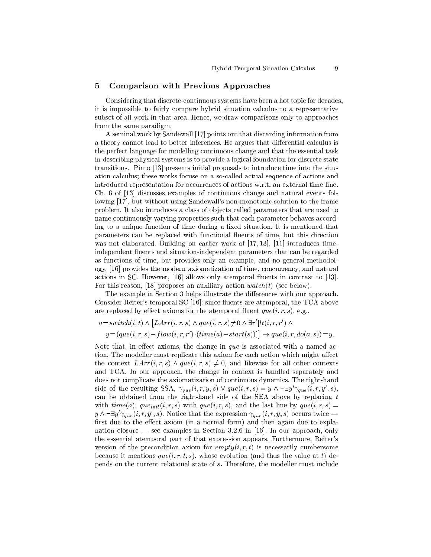# 5 Comparison with Previous Approa
hes

Considering that discrete-continuous systems have been a hot topic for decades, it is impossible to fairly compare hybrid situation calculus to a representative subset of all work in that area. Hence, we draw comparisons only to approaches from the same paradigm.

A seminal work by Sandewall [17] points out that discarding information from a theory cannot lead to better inferences. He argues that differential calculus is the perfe
t language for modelling ontinuous hange and that the essential task in des
ribing physi
al systems is to provide a logi
al foundation for dis
rete state transitions. Pinto [13] presents initial proposals to introduce time into the situation calculus; these works focuse on a so-called actual sequence of actions and introduced representation for occurrences of actions w.r.t. an external time-line. Ch. 6 of [13] discusses examples of continuous change and natural events following [17], but without using Sandewall's non-monotonic solution to the frame problem. It also introduces a class of objects called parameters that are used to name continuously varying properties such that each parameter behaves according to a unique function of time during a fixed situation. It is mentioned that parameters can be replaced with functional fluents of time, but this direction was not elaborated. Building on earlier work of  $[17, 13]$ ,  $[11]$  introduces timeindependent fluents and situation-independent parameters that can be regarded as fun
tions of time, but provides only an example, and no general methodology.  $[16]$  provides the modern axiomatization of time, concurrency, and natural actions in SC. However, [16] allows only atemporal fluents in contrast to [13]. For this reason, [18] proposes an auxiliary action  $watch(t)$  (see below).

The example in Section 3 helps illustrate the differences with our approach. Consider Reiter's temporal SC [16]: since fluents are atemporal, the TCA above are replaced by effect axioms for the atemporal fluent  $que(i, r, s)$ , e.g.,

$$
a = switch(i, t) \land [LArr(i, r, s) \land que(i, r, s) \neq 0 \land \exists r'[lt(i, r, r') \landy = (que(i, r, s) - flow(i, r, r') \cdot (time(a) - start(s))]] \rightarrow que(i, r, do(a, s)) = y.
$$

Note that, in effect axioms, the change in que is associated with a named action. The modeller must replicate this axiom for each action which might affect the context  $LArr(i, r, s) \wedge que(i, r, s) \neq 0$ , and likewise for all other contexts and TCA. In our approa
h, the hange in ontext is handled separately and does not complicate the axiomatization of continuous dynamics. The right-hand  $s$ side of the resulting SSA,  $\gamma_{que}(i, r, y, s)$  v  $que(i, r, s) = y \wedge \neg y$   $\gamma_{que}(i, r, y, s)$ , can be obtained from the right-hand side of the SEA above by replacing  $t$ with  $time(a)$ ,  $que_{init}(i, r, s)$  with  $que(i, r, s)$ , and the last line by  $que(i, r, s)$  $y \wedge \neg \exists y \; \gamma_{que} \, (i, r, y \, , s)$ . Notice that the expression  $\gamma_{que} \, (i, r, y, s)$  occurs twice first due to the effect axiom (in a normal form) and then again due to explanation closure — see examples in Section 3.2.6 in [16]. In our approach, only the essential atemporal part of that expression appears. Furthermore, Reiter's version of the precondition axiom for  $empty(i, r, t)$  is necessarily cumbersome because it mentions  $que(i, r, t, s)$ , whose evolution (and thus the value at t) depends on the urrent relational state of s. Therefore, the modeller must in
lude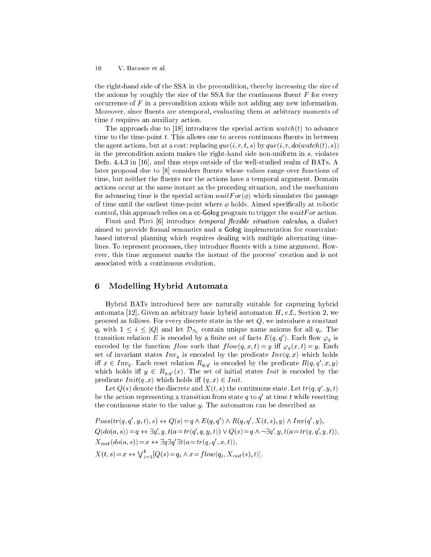the right-hand side of the SSA in the precondition, thereby increasing the size of the axioms by roughly the size of the SSA for the continuous fluent  $F$  for every  $\alpha$  occurrence of F in a precondition axiom while not adding any new information. Moreover, since fluents are atemporal, evaluating them at arbitrary moments of time  $t$  requires an auxiliary action.

The approach due to [18] introduces the special action  $\text{watch}(t)$  to advance time to the time-point  $t$ . This allows one to access continuous fluents in between the agent actions, but at a cost: replacing  $que(i, r, t, s)$  by  $que(i, r, do(watch(t), s))$ in the precondition axiom makes the right-hand side non-uniform in  $s$ , violates Defn. 4.4.3 in [16], and thus steps outside of the well-studied realm of BATs. A later proposal due to [8] considers fluents whose values range over functions of time, but neither the fluents nor the actions have a temporal argument. Domain actions occur at the same instant as the preceding situation, and the mechanism for advancing time is the special action  $waitFor(\phi)$  which simulates the passage of time until the earliest time-point where  $\phi$  holds. Aimed specifically at robotic control, this approach relies on a cc-Golog program to trigger the  $waitFor$  action.

Finzi and Pirri [6] introduce temporal flexible situation calculus, a dialect aimed to provide formal semantics and a Golog implementation for constraintbased interval planning whi
h requires dealing with multiple alternating timelines. To represent processes, they introduce fluents with a time argument. However, this time argument marks the instant of the process' creation and is not asso
iated with a ontinuous evolution.

#### 6 6 Modelling Hybrid Automata

Hybrid BATs introdu
ed here are naturally suitable for apturing hybrid automata [12]. Given an arbitrary basic hybrid automaton  $H$ , c.f., Section 2, we proceed as follows. For every discrete state in the set Q, we introduce a constant  $q_i$  with  $1 \leq i \leq |Q|$  and let  $\mathcal{D}_{S_0}$  contain unique name axioms for all  $q_i$ . The transition relation  $E$  is encoded by a finite set of facts  $E(q,q$  ). Each flow  $\varphi_q$  is encoded by the function flow such that  $flow(q, x, t) = y$  iff  $\varphi_q(x, t) = y$ . Each set of invariant states  $Inv_q$  is encoded by the predicate  $Inv(q, x)$  which holds in  $x \in Inv_q$ . Each reset relation  $\kappa_{q,q'}$  is encoded by the predicate  $\kappa(q,q|,x,y)$ which holds iff  $y \in R_{q,q'}(x)$ . The set of initial states Init is encoded by the predicate  $Init(q, x)$  which holds iff  $(q, x) \in Init$ .

Let  $Q(s)$  denote the discrete and  $A(t,s)$  the continuous state. Let  $tr(q,q|,y,t)$ be the action representing a transition from state  $q$  to  $q$  at time  $t$  while resetting the continuous state to the value  $y$ . The automaton can be described as

$$
Poss(tr(q, q', y, t), s) \leftrightarrow Q(s) = q \land E(q, q') \land R(q, q', X(t, s), y) \land Inv(q', y),
$$
  
\n
$$
Q(do(a, s)) = q \leftrightarrow \exists q', y, t(a = tr(q', q, y, t)) \lor Q(s) = q \land \neg \exists q', y, t(a = tr(q, q', y, t)),
$$
  
\n
$$
X_{init}(do(a, s)) = x \leftrightarrow \exists q \exists q' \exists t(a = tr(q, q', x, t)),
$$
  
\n
$$
X(t, s) = x \leftrightarrow \bigvee_{i=1}^{k} [Q(s) = q_i \land x = flow(q_i, X_{init}(s), t)].
$$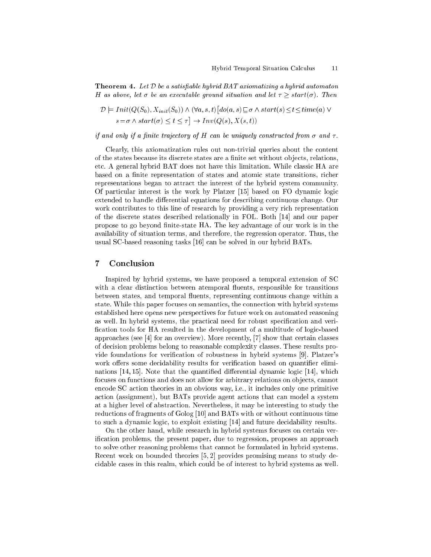**Theorem 4.** Let  $D$  be a satisfiable hybrid BAT axiomatizing a hybrid automaton H as above, let  $\sigma$  be an executable ground situation and let  $\tau > start(\sigma)$ . Then

$$
\mathcal{D} \models Init(Q(S_0), X_{init}(S_0)) \land (\forall a, s, t) [do(a, s) \sqsubseteq \sigma \land start(s) \le t \le time(a) \lor s = \sigma \land start(\sigma) \le t \le \tau] \rightarrow Inv(Q(s), X(s, t))
$$

if and only if a finite trajectory of H can be uniquely constructed from  $\sigma$  and  $\tau$ .

Clearly, this axiomatization rules out non-trivial queries about the ontent of the states because its discrete states are a finite set without objects, relations, et
. A general hybrid BAT does not have this limitation. While lassi HA are based on a finite representation of states and atomic state transitions, richer representations began to attra
t the interest of the hybrid system ommunity. Of particular interest is the work by Platzer  $[15]$  based on FO dynamic logic extended to handle differential equations for describing continuous change. Our work contributes to this line of research by providing a very rich representation of the discrete states described relationally in FOL. Both [14] and our paper propose to go beyond finite-state HA. The key advantage of our work is in the availability of situation terms, and therefore, the regression operator. Thus, the usual SC-based reasoning tasks [16] can be solved in our hybrid BATs.

### $\overline{7}$ **Conclusion**

Inspired by hybrid systems, we have proposed a temporal extension of SC with a clear distinction between atemporal fluents, responsible for transitions between states, and temporal fluents, representing continuous change within a state. While this paper focuses on semantics, the connection with hybrid systems established here opens new perspe
tives for future work on automated reasoning as well. In hybrid systems, the practical need for robust specification and verification tools for HA resulted in the development of a multitude of logic-based approaches (see  $[4]$  for an overview). More recently,  $[7]$  show that certain classes of de
ision problems belong to reasonable omplexity lasses. These results provide foundations for verification of robustness in hybrid systems  $[9]$ . Platzer's work offers some decidability results for verification based on quantifier eliminations  $[14, 15]$ . Note that the quantified differential dynamic logic  $[14]$ , which focuses on functions and does not allow for arbitrary relations on objects, cannot en
ode SC a
tion theories in an obvious way, i.e., it in
ludes only one primitive a
tion (assignment), but BATs provide agent a
tions that an model a system at a higher level of abstra
tion. Nevertheless, it may be interesting to study the reductions of fragments of Golog [10] and BATs with or without continuous time to such a dynamic logic, to exploit existing [14] and future decidability results.

On the other hand, while research in hybrid systems focuses on certain verification problems, the present paper, due to regression, proposes an approach to solve other reasoning problems that annot be formulated in hybrid systems. Recent work on bounded theories [5, 2] provides promising means to study decidable cases in this realm, which could be of interest to hybrid systems as well.